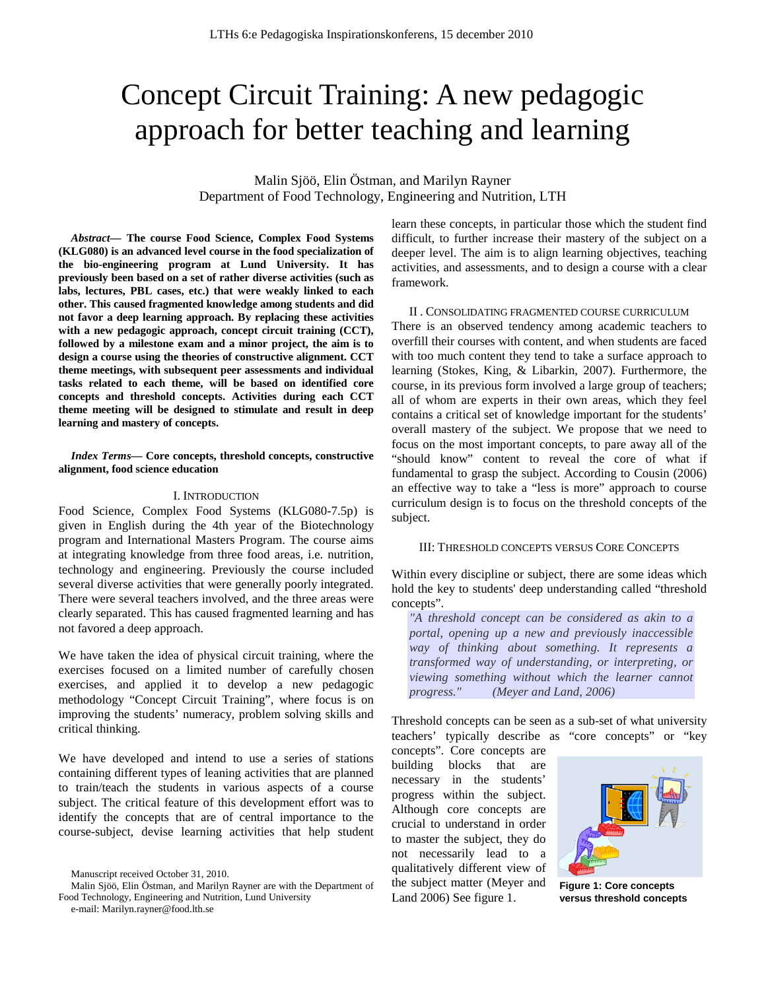# Concept Circuit Training: A new pedagogic approach for better teaching and learning

Malin Sjöö, Elin Östman, and Marilyn Rayner Department of Food Technology, Engineering and Nutrition, LTH

*Abstract***— The course Food Science, Complex Food Systems (KLG080) is an advanced level course in the food specialization of the bio-engineering program at Lund University. It has previously been based on a set of rather diverse activities (such as labs, lectures, PBL cases, etc.) that were weakly linked to each other. This caused fragmented knowledge among students and did not favor a deep learning approach. By replacing these activities with a new pedagogic approach, concept circuit training (CCT), followed by a milestone exam and a minor project, the aim is to design a course using the theories of constructive alignment. CCT theme meetings, with subsequent peer assessments and individual tasks related to each theme, will be based on identified core concepts and threshold concepts. Activities during each CCT theme meeting will be designed to stimulate and result in deep learning and mastery of concepts.** 

# *Index Terms***— Core concepts, threshold concepts, constructive alignment, food science education**

### I. INTRODUCTION

Food Science, Complex Food Systems (KLG080-7.5p) is given in English during the 4th year of the Biotechnology program and International Masters Program. The course aims at integrating knowledge from three food areas, i.e. nutrition, technology and engineering. Previously the course included several diverse activities that were generally poorly integrated. There were several teachers involved, and the three areas were clearly separated. This has caused fragmented learning and has not favored a deep approach.

We have taken the idea of physical circuit training, where the exercises focused on a limited number of carefully chosen exercises, and applied it to develop a new pedagogic methodology "Concept Circuit Training", where focus is on improving the students' numeracy, problem solving skills and critical thinking.

We have developed and intend to use a series of stations containing different types of leaning activities that are planned to train/teach the students in various aspects of a course subject. The critical feature of this development effort was to identify the concepts that are of central importance to the course-subject, devise learning activities that help student learn these concepts, in particular those which the student find difficult, to further increase their mastery of the subject on a deeper level. The aim is to align learning objectives, teaching activities, and assessments, and to design a course with a clear framework.

II . CONSOLIDATING FRAGMENTED COURSE CURRICULUM There is an observed tendency among academic teachers to overfill their courses with content, and when students are faced with too much content they tend to take a surface approach to learning (Stokes, King, & Libarkin, 2007). Furthermore, the course, in its previous form involved a large group of teachers; all of whom are experts in their own areas, which they feel contains a critical set of knowledge important for the students' overall mastery of the subject. We propose that we need to focus on the most important concepts, to pare away all of the "should know" content to reveal the core of what if fundamental to grasp the subject. According to Cousin (2006) an effective way to take a "less is more" approach to course curriculum design is to focus on the threshold concepts of the subject.

#### III: THRESHOLD CONCEPTS VERSUS CORE CONCEPTS

Within every discipline or subject, there are some ideas which hold the key to students' deep understanding called "threshold concepts".

*"A threshold concept can be considered as akin to a portal, opening up a new and previously inaccessible way of thinking about something. It represents a transformed way of understanding, or interpreting, or viewing something without which the learner cannot progress." (Meyer and Land, 2006)*

Threshold concepts can be seen as a sub-set of what university teachers' typically describe as "core concepts" or "key

concepts". Core concepts are building blocks that are necessary in the students' progress within the subject. Although core concepts are crucial to understand in order to master the subject, they do not necessarily lead to a qualitatively different view of the subject matter (Meyer and Land 2006) See figure 1.



**Figure 1: Core concepts versus threshold concepts**

Manuscript received October 31, 2010.

Malin Sjöö, Elin Östman, and Marilyn Rayner are with the Department of Food Technology, Engineering and Nutrition, Lund University

e-mail: Marilyn.rayner@food.lth.se